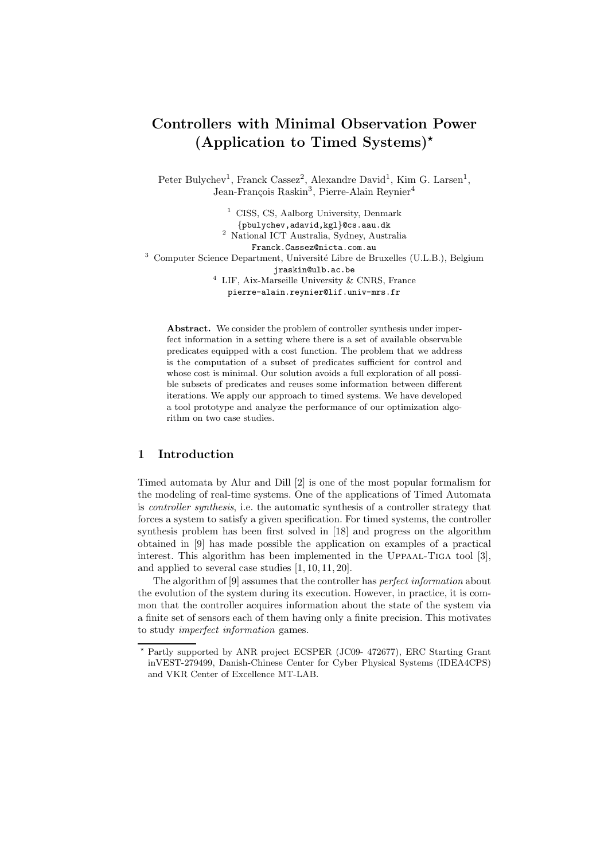# Controllers with Minimal Observation Power (Application to Timed Systems)<sup>\*</sup>

Peter Bulychev<sup>1</sup>, Franck Cassez<sup>2</sup>, Alexandre David<sup>1</sup>, Kim G. Larsen<sup>1</sup>, Jean-François Raskin<sup>3</sup>, Pierre-Alain Reynier<sup>4</sup>

- <sup>1</sup> CISS, CS, Aalborg University, Denmark
- {pbulychev,adavid,kgl}@cs.aau.dk
- <sup>2</sup> National ICT Australia, Sydney, Australia
	- Franck.Cassez@nicta.com.au

<sup>3</sup> Computer Science Department, Université Libre de Bruxelles (U.L.B.), Belgium

jraskin@ulb.ac.be

 $^4\,$  LIF, Aix-Marseille University & CNRS, France

pierre-alain.reynier@lif.univ-mrs.fr

Abstract. We consider the problem of controller synthesis under imperfect information in a setting where there is a set of available observable predicates equipped with a cost function. The problem that we address is the computation of a subset of predicates sufficient for control and whose cost is minimal. Our solution avoids a full exploration of all possible subsets of predicates and reuses some information between different iterations. We apply our approach to timed systems. We have developed a tool prototype and analyze the performance of our optimization algorithm on two case studies.

# 1 Introduction

Timed automata by Alur and Dill [2] is one of the most popular formalism for the modeling of real-time systems. One of the applications of Timed Automata is controller synthesis, i.e. the automatic synthesis of a controller strategy that forces a system to satisfy a given specification. For timed systems, the controller synthesis problem has been first solved in [18] and progress on the algorithm obtained in [9] has made possible the application on examples of a practical interest. This algorithm has been implemented in the UPPAAL-TIGA tool [3], and applied to several case studies [1, 10, 11, 20].

The algorithm of [9] assumes that the controller has perfect information about the evolution of the system during its execution. However, in practice, it is common that the controller acquires information about the state of the system via a finite set of sensors each of them having only a finite precision. This motivates to study imperfect information games.

<sup>⋆</sup> Partly supported by ANR project ECSPER (JC09- 472677), ERC Starting Grant inVEST-279499, Danish-Chinese Center for Cyber Physical Systems (IDEA4CPS) and VKR Center of Excellence MT-LAB.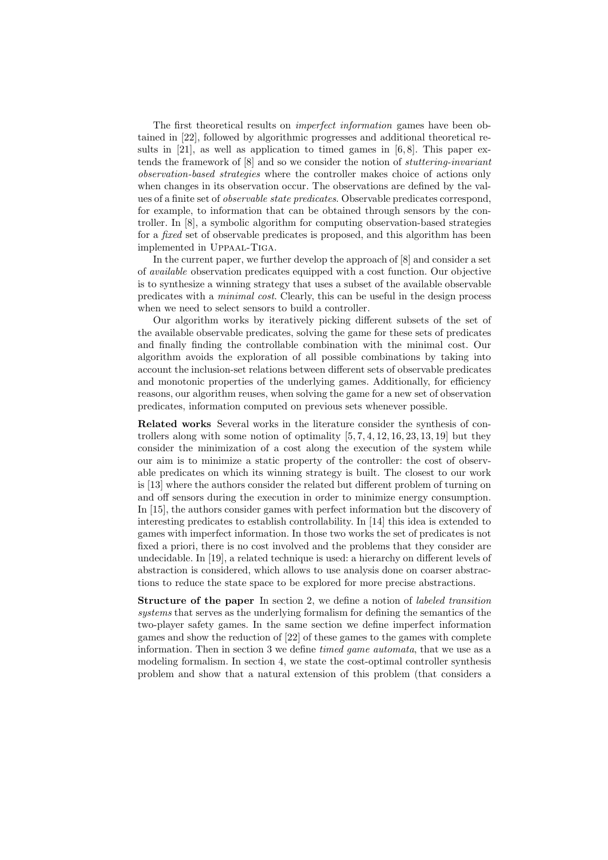The first theoretical results on imperfect information games have been obtained in [22], followed by algorithmic progresses and additional theoretical results in  $[21]$ , as well as application to timed games in  $[6, 8]$ . This paper extends the framework of [8] and so we consider the notion of stuttering-invariant observation-based strategies where the controller makes choice of actions only when changes in its observation occur. The observations are defined by the values of a finite set of observable state predicates. Observable predicates correspond, for example, to information that can be obtained through sensors by the controller. In [8], a symbolic algorithm for computing observation-based strategies for a *fixed* set of observable predicates is proposed, and this algorithm has been implemented in Uppaal-Tiga.

In the current paper, we further develop the approach of [8] and consider a set of available observation predicates equipped with a cost function. Our objective is to synthesize a winning strategy that uses a subset of the available observable predicates with a minimal cost. Clearly, this can be useful in the design process when we need to select sensors to build a controller.

Our algorithm works by iteratively picking different subsets of the set of the available observable predicates, solving the game for these sets of predicates and finally finding the controllable combination with the minimal cost. Our algorithm avoids the exploration of all possible combinations by taking into account the inclusion-set relations between different sets of observable predicates and monotonic properties of the underlying games. Additionally, for efficiency reasons, our algorithm reuses, when solving the game for a new set of observation predicates, information computed on previous sets whenever possible.

Related works Several works in the literature consider the synthesis of controllers along with some notion of optimality  $[5, 7, 4, 12, 16, 23, 13, 19]$  but they consider the minimization of a cost along the execution of the system while our aim is to minimize a static property of the controller: the cost of observable predicates on which its winning strategy is built. The closest to our work is [13] where the authors consider the related but different problem of turning on and off sensors during the execution in order to minimize energy consumption. In [15], the authors consider games with perfect information but the discovery of interesting predicates to establish controllability. In [14] this idea is extended to games with imperfect information. In those two works the set of predicates is not fixed a priori, there is no cost involved and the problems that they consider are undecidable. In [19], a related technique is used: a hierarchy on different levels of abstraction is considered, which allows to use analysis done on coarser abstractions to reduce the state space to be explored for more precise abstractions.

Structure of the paper In section 2, we define a notion of labeled transition systems that serves as the underlying formalism for defining the semantics of the two-player safety games. In the same section we define imperfect information games and show the reduction of [22] of these games to the games with complete information. Then in section 3 we define timed game automata, that we use as a modeling formalism. In section 4, we state the cost-optimal controller synthesis problem and show that a natural extension of this problem (that considers a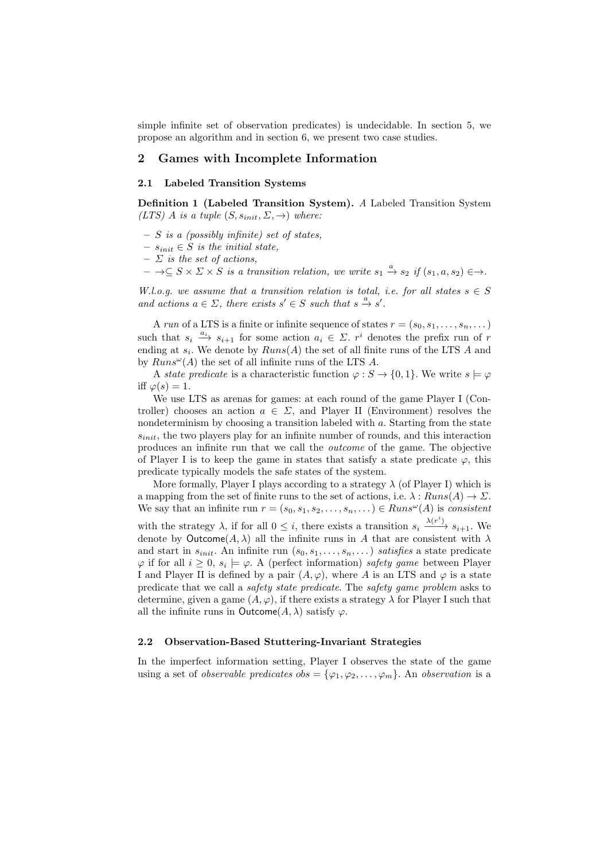simple infinite set of observation predicates) is undecidable. In section 5, we propose an algorithm and in section 6, we present two case studies.

## 2 Games with Incomplete Information

# 2.1 Labeled Transition Systems

Definition 1 (Labeled Transition System). A Labeled Transition System (LTS) A is a tuple  $(S, s_{init}, \Sigma, \rightarrow)$  where:

- $S$  is a (possibly infinite) set of states,
- $− s_{init} ∈ S$  is the initial state,
- $\Sigma$  is the set of actions,
- $\to \subseteq S \times \Sigma \times S$  is a transition relation, we write  $s_1 \stackrel{a}{\to} s_2$  if  $(s_1, a, s_2) \in \to$ .

W.l.o.g. we assume that a transition relation is total, i.e. for all states  $s \in S$ and actions  $a \in \Sigma$ , there exists  $s' \in S$  such that  $s \xrightarrow{a} s'$ .

A run of a LTS is a finite or infinite sequence of states  $r = (s_0, s_1, \ldots, s_n, \ldots)$ such that  $s_i \stackrel{a_i}{\longrightarrow} s_{i+1}$  for some action  $a_i \in \Sigma$ .  $r^i$  denotes the prefix run of r ending at  $s_i$ . We denote by  $Runs(A)$  the set of all finite runs of the LTS A and by  $Runs^{\omega}(A)$  the set of all infinite runs of the LTS A.

A state predicate is a characteristic function  $\varphi : S \to \{0,1\}$ . We write  $s \models \varphi$ iff  $\varphi(s) = 1$ .

We use LTS as arenas for games: at each round of the game Player I (Controller) chooses an action  $a \in \Sigma$ , and Player II (Environment) resolves the nondeterminism by choosing a transition labeled with a. Starting from the state  $s_{init}$ , the two players play for an infinite number of rounds, and this interaction produces an infinite run that we call the outcome of the game. The objective of Player I is to keep the game in states that satisfy a state predicate  $\varphi$ , this predicate typically models the safe states of the system.

More formally, Player I plays according to a strategy  $\lambda$  (of Player I) which is a mapping from the set of finite runs to the set of actions, i.e.  $\lambda : Runs(A) \rightarrow \Sigma$ . We say that an infinite run  $r = (s_0, s_1, s_2, \ldots, s_n, \ldots) \in Runs^{\omega}(A)$  is consistent

with the strategy  $\lambda$ , if for all  $0 \leq i$ , there exists a transition  $s_i \xrightarrow{\lambda(r^i)} s_{i+1}$ . We denote by Outcome( $A, \lambda$ ) all the infinite runs in A that are consistent with  $\lambda$ and start in  $s_{init}$ . An infinite run  $(s_0, s_1, \ldots, s_n, \ldots)$  satisfies a state predicate  $\varphi$  if for all  $i \geq 0$ ,  $s_i \models \varphi$ . A (perfect information) safety game between Player I and Player II is defined by a pair  $(A, \varphi)$ , where A is an LTS and  $\varphi$  is a state predicate that we call a safety state predicate. The safety game problem asks to determine, given a game  $(A, \varphi)$ , if there exists a strategy  $\lambda$  for Player I such that all the infinite runs in Outcome( $A, \lambda$ ) satisfy  $\varphi$ .

#### 2.2 Observation-Based Stuttering-Invariant Strategies

In the imperfect information setting, Player I observes the state of the game using a set of *observable predicates obs* = { $\varphi_1, \varphi_2, \ldots, \varphi_m$ }. An *observation* is a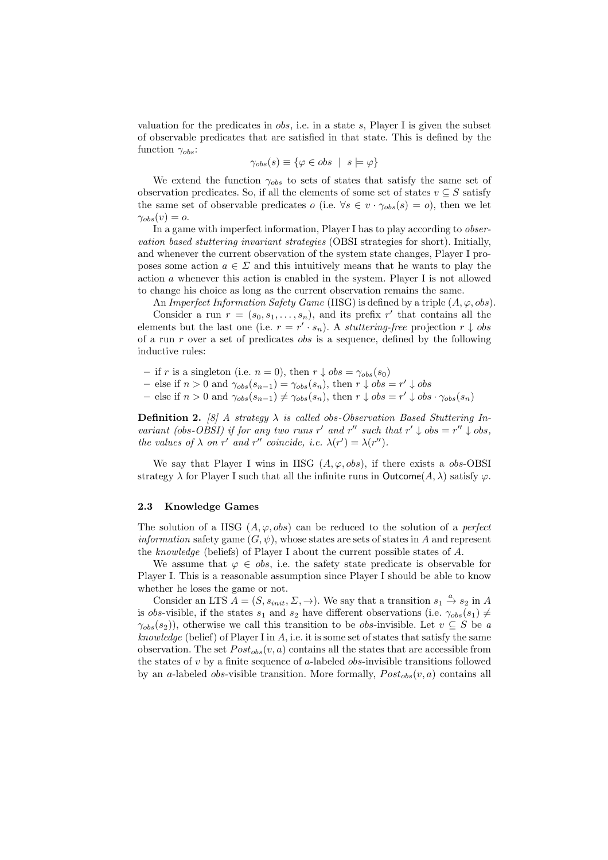valuation for the predicates in  $\delta s$ , i.e. in a state s, Player I is given the subset of observable predicates that are satisfied in that state. This is defined by the function  $\gamma_{obs}$ :

$$
\gamma_{obs}(s) \equiv \{ \varphi \in obs \mid s \models \varphi \}
$$

We extend the function  $\gamma_{obs}$  to sets of states that satisfy the same set of observation predicates. So, if all the elements of some set of states  $v \subseteq S$  satisfy the same set of observable predicates  $o$  (i.e.  $\forall s \in v \cdot \gamma_{obs}(s) = o$ ), then we let  $\gamma_{obs}(v) = o.$ 

In a game with imperfect information, Player I has to play according to observation based stuttering invariant strategies (OBSI strategies for short). Initially, and whenever the current observation of the system state changes, Player I proposes some action  $a \in \Sigma$  and this intuitively means that he wants to play the action a whenever this action is enabled in the system. Player I is not allowed to change his choice as long as the current observation remains the same.

An Imperfect Information Safety Game (IISG) is defined by a triple  $(A, \varphi, obs)$ . Consider a run  $r = (s_0, s_1, \ldots, s_n)$ , and its prefix r' that contains all the elements but the last one (i.e.  $r = r' \cdot s_n$ ). A *stuttering-free* projection  $r \downarrow obs$ of a run  $r$  over a set of predicates *obs* is a sequence, defined by the following inductive rules:

– if r is a singleton (i.e.  $n = 0$ ), then  $r \downarrow obs = \gamma_{obs}(s_0)$ 

- else if *n* > 0 and  $\gamma_{obs}(s_{n-1}) = \gamma_{obs}(s_n)$ , then *r* ↓ *obs* = *r'* ↓ *obs*
- else if *n* > 0 and  $\gamma_{obs}(s_{n-1}) \neq \gamma_{obs}(s_n)$ , then *r* ↓ *obs* = *r'* ↓ *obs* ·  $\gamma_{obs}(s_n)$

**Definition 2.** [8] A strategy  $\lambda$  is called obs-Observation Based Stuttering Invariant (obs-OBSI) if for any two runs r' and r'' such that  $r' \downarrow obs = r'' \downarrow obs$ , the values of  $\lambda$  on r' and r'' coincide, i.e.  $\lambda(r') = \lambda(r'')$ .

We say that Player I wins in IISG  $(A, \varphi, obs)$ , if there exists a *obs*-OBSI strategy  $\lambda$  for Player I such that all the infinite runs in Outcome(A,  $\lambda$ ) satisfy  $\varphi$ .

#### 2.3 Knowledge Games

The solution of a IISG  $(A, \varphi, obs)$  can be reduced to the solution of a *perfect information* safety game  $(G, \psi)$ , whose states are sets of states in A and represent the knowledge (beliefs) of Player I about the current possible states of A.

We assume that  $\varphi \in obs$ , i.e. the safety state predicate is observable for Player I. This is a reasonable assumption since Player I should be able to know whether he loses the game or not.

Consider an LTS  $A = (S, s_{init}, \Sigma, \rightarrow)$ . We say that a transition  $s_1 \stackrel{a}{\rightarrow} s_2$  in A is obs-visible, if the states  $s_1$  and  $s_2$  have different observations (i.e.  $\gamma_{obs}(s_1) \neq$  $\gamma_{obs}(s_2)$ ), otherwise we call this transition to be *obs*-invisible. Let  $v \subseteq S$  be a knowledge (belief) of Player I in  $A$ , i.e. it is some set of states that satisfy the same observation. The set  $Post_{obs}(v, a)$  contains all the states that are accessible from the states of  $v$  by a finite sequence of a-labeled *obs*-invisible transitions followed by an a-labeled *obs*-visible transition. More formally,  $Post_{obs}(v, a)$  contains all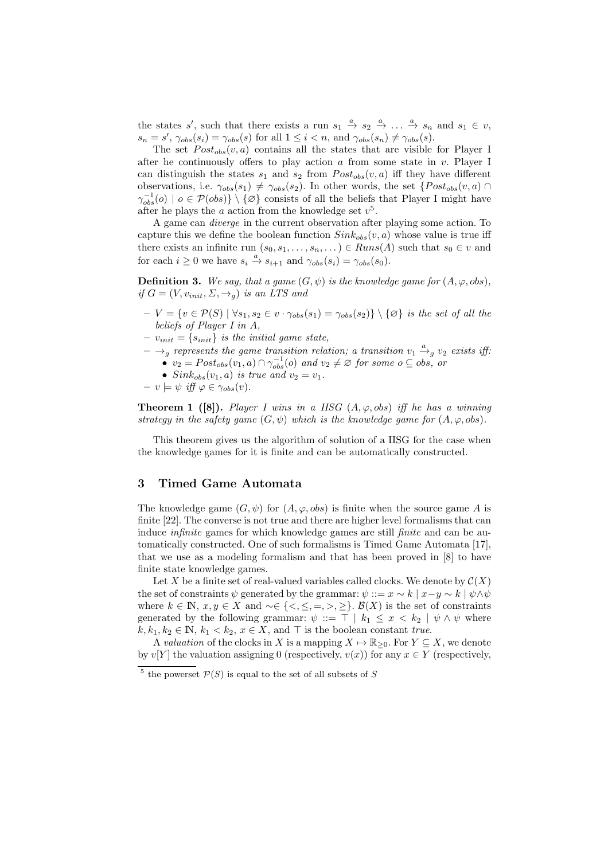the states s', such that there exists a run  $s_1 \stackrel{a}{\rightarrow} s_2 \stackrel{a}{\rightarrow} \ldots \stackrel{a}{\rightarrow} s_n$  and  $s_1 \in v$ ,  $s_n = s'$ ,  $\gamma_{obs}(s_i) = \gamma_{obs}(s)$  for all  $1 \leq i < n$ , and  $\gamma_{obs}(s_n) \neq \gamma_{obs}(s)$ .

The set  $Post_{obs}(v, a)$  contains all the states that are visible for Player I after he continuously offers to play action  $a$  from some state in  $v$ . Player I can distinguish the states  $s_1$  and  $s_2$  from  $Post_{obs}(v, a)$  iff they have different observations, i.e.  $\gamma_{obs}(s_1) \neq \gamma_{obs}(s_2)$ . In other words, the set  $\{Post_{obs}(v, a) \cap$  $\gamma_{obs}^{-1}(o) \mid o \in \mathcal{P}(obs) \} \setminus {\emptyset}$  consists of all the beliefs that Player I might have after he plays the  $a$  action from the knowledge set  $v^5$ .

A game can diverge in the current observation after playing some action. To capture this we define the boolean function  $Sink_{obs}(v, a)$  whose value is true iff there exists an infinite run  $(s_0, s_1, \ldots, s_n, \ldots) \in Runs(A)$  such that  $s_0 \in v$  and for each  $i \geq 0$  we have  $s_i \stackrel{a}{\rightarrow} s_{i+1}$  and  $\gamma_{obs}(s_i) = \gamma_{obs}(s_0)$ .

**Definition 3.** We say, that a game  $(G, \psi)$  is the knowledge game for  $(A, \varphi, obs)$ , if  $G = (V, v_{init}, \Sigma, \rightarrow q)$  is an LTS and

- $-V = \{v \in \mathcal{P}(S) \mid \forall s_1, s_2 \in v \cdot \gamma_{obs}(s_1) = \gamma_{obs}(s_2)\} \setminus \{\varnothing\}$  is the set of all the beliefs of Player I in A,
- $v_{init} = \{s_{init}\}\$ is the initial game state,
- $-\rightarrow_g$  represents the game transition relation; a transition  $v_1 \stackrel{a}{\rightarrow}_g v_2$  exists iff:
	- $v_2 = Post_{obs}(v_1, a) \cap \gamma_{obs}^{-1}(o)$  and  $v_2 \neq \emptyset$  for some  $o \subseteq obs$ , or
	- $Sink_{obs}(v_1, a)$  is true and  $v_2 = v_1$ .

$$
- v \models \psi \text{ iff } \varphi \in \gamma_{obs}(v).
$$

**Theorem 1** ([8]). Player I wins in a IISG  $(A, \varphi, obs)$  iff he has a winning strategy in the safety game  $(G, \psi)$  which is the knowledge game for  $(A, \varphi, obs)$ .

This theorem gives us the algorithm of solution of a IISG for the case when the knowledge games for it is finite and can be automatically constructed.

# 3 Timed Game Automata

The knowledge game  $(G, \psi)$  for  $(A, \varphi, obs)$  is finite when the source game A is finite [22]. The converse is not true and there are higher level formalisms that can induce *infinite* games for which knowledge games are still *finite* and can be automatically constructed. One of such formalisms is Timed Game Automata [17], that we use as a modeling formalism and that has been proved in [8] to have finite state knowledge games.

Let X be a finite set of real-valued variables called clocks. We denote by  $\mathcal{C}(X)$ the set of constraints  $\psi$  generated by the grammar:  $\psi ::= x \sim k | x-y \sim k | \psi \wedge \psi$ where  $k \in \mathbb{N}$ ,  $x, y \in X$  and  $\sim \in \{ \leq, \leq, =, >, \geq \}$ .  $\mathcal{B}(X)$  is the set of constraints generated by the following grammar:  $\psi ::= \top | k_1 \leq x < k_2 | \psi \wedge \psi$  where  $k, k_1, k_2 \in \mathbb{N}, k_1 < k_2, x \in X$ , and  $\top$  is the boolean constant true.

A valuation of the clocks in X is a mapping  $X \mapsto \mathbb{R}_{\geq 0}$ . For  $Y \subseteq X$ , we denote by v[Y] the valuation assigning 0 (respectively,  $v(x)$ ) for any  $x \in Y$  (respectively,

<sup>&</sup>lt;sup>5</sup> the powerset  $P(S)$  is equal to the set of all subsets of S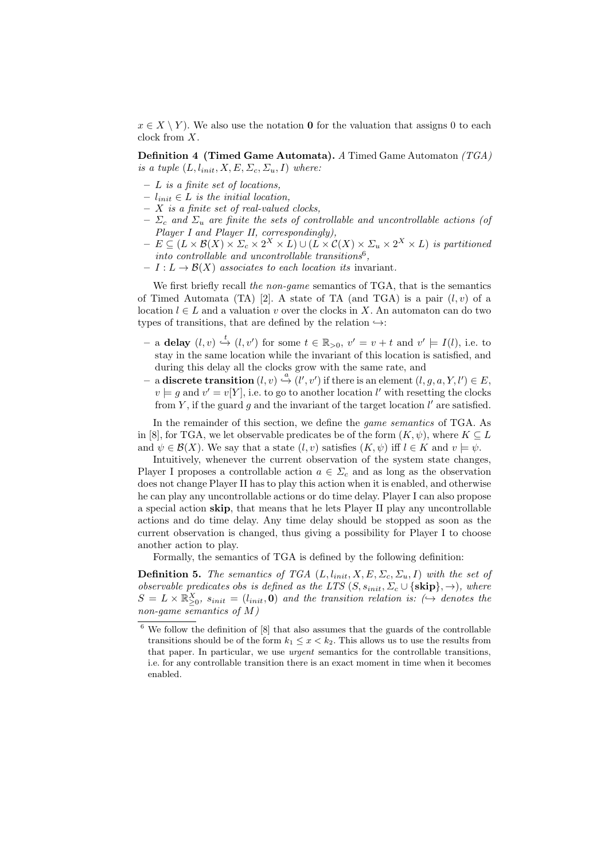$x \in X \setminus Y$ . We also use the notation **0** for the valuation that assigns 0 to each clock from X.

Definition 4 (Timed Game Automata). A Timed Game Automaton (TGA) is a tuple  $(L, l_{init}, X, E, \Sigma_c, \Sigma_u, I)$  where:

- $L$  is a finite set of locations.
- $l_{init} \in L$  is the initial location,
- $X$  is a finite set of real-valued clocks,
- $\Sigma_c$  and  $\Sigma_u$  are finite the sets of controllable and uncontrollable actions (of Player I and Player II, correspondingly),
- $E \subseteq (L \times \mathcal{B}(X) \times \Sigma_c \times 2^X \times L) \cup (L \times \mathcal{C}(X) \times \Sigma_u \times 2^X \times L)$  is partitioned into controllable and uncontrollable transitions<sup>6</sup>,
- $-I: L \to \mathcal{B}(X)$  associates to each location its invariant.

We first briefly recall the non-game semantics of TGA, that is the semantics of Timed Automata (TA) [2]. A state of TA (and TGA) is a pair  $(l, v)$  of a location  $l \in L$  and a valuation v over the clocks in X. An automaton can do two types of transitions, that are defined by the relation  $\hookrightarrow$ :

- $-$  a delay  $(l, v) \stackrel{t}{\hookrightarrow} (l, v')$  for some  $t \in \mathbb{R}_{>0}$ ,  $v' = v + t$  and  $v' \models I(l)$ , i.e. to stay in the same location while the invariant of this location is satisfied, and during this delay all the clocks grow with the same rate, and
- $-$  a discrete transition  $(l, v) \stackrel{a}{\hookrightarrow} (l', v')$  if there is an element  $(l, g, a, Y, l') \in E$ ,  $v \models g$  and  $v' = v[Y]$ , i.e. to go to another location l' with resetting the clocks from  $Y$ , if the guard  $g$  and the invariant of the target location  $l'$  are satisfied.

In the remainder of this section, we define the game semantics of TGA. As in [8], for TGA, we let observable predicates be of the form  $(K, \psi)$ , where  $K \subseteq L$ and  $\psi \in \mathcal{B}(X)$ . We say that a state  $(l, v)$  satisfies  $(K, \psi)$  iff  $l \in K$  and  $v \models \psi$ .

Intuitively, whenever the current observation of the system state changes, Player I proposes a controllable action  $a \in \Sigma_c$  and as long as the observation does not change Player II has to play this action when it is enabled, and otherwise he can play any uncontrollable actions or do time delay. Player I can also propose a special action skip, that means that he lets Player II play any uncontrollable actions and do time delay. Any time delay should be stopped as soon as the current observation is changed, thus giving a possibility for Player I to choose another action to play.

Formally, the semantics of TGA is defined by the following definition:

**Definition 5.** The semantics of TGA  $(L, l_{init}, X, E, \Sigma_c, \Sigma_u, I)$  with the set of observable predicates obs is defined as the LTS  $(S, s_{init}, \Sigma_c \cup \{skip\}, \rightarrow)$ , where  $S = L \times \mathbb{R}_{\geq 0}^X$ ,  $s_{init} = (l_{init}, \mathbf{0})$  and the transition relation is:  $\leftrightarrow$  denotes the non-game semantics of  $M$ )

 $^6$  We follow the definition of  $[8]$  that also assumes that the guards of the controllable transitions should be of the form  $k_1 \leq x < k_2$ . This allows us to use the results from that paper. In particular, we use *urgent* semantics for the controllable transitions, i.e. for any controllable transition there is an exact moment in time when it becomes enabled.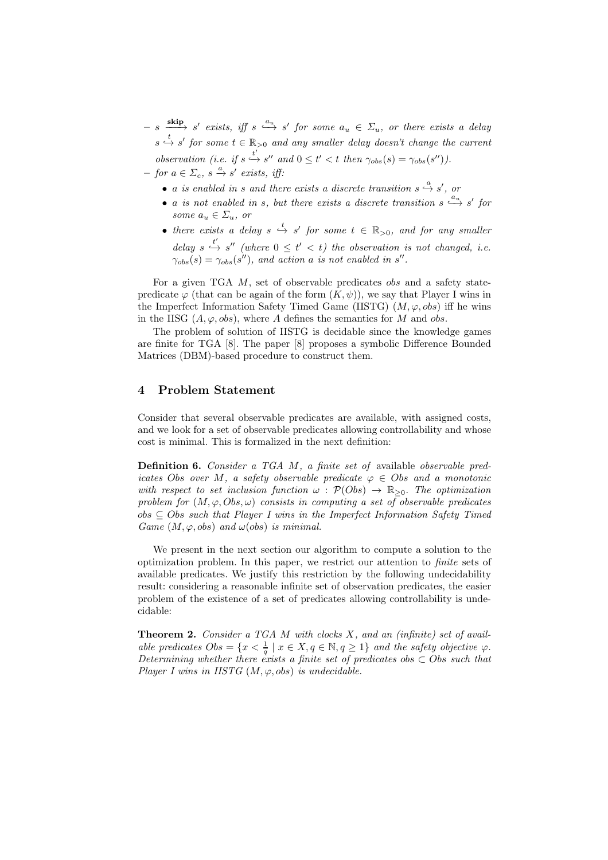$- s \xrightarrow{\text{skip}} s' \text{ exists, iff } s \xrightarrow{a_u} s' \text{ for some } a_u \in \Sigma_u, \text{ or there exists a delay}$  $s \stackrel{t}{\hookrightarrow} s'$  for some  $t \in \mathbb{R}_{>0}$  and any smaller delay doesn't change the current

observation (i.e. if  $s \stackrel{t'}{\hookrightarrow} s''$  and  $0 \le t' < t$  then  $\gamma_{obs}(s) = \gamma_{obs}(s'')$ ).  $-$  for  $a \in \Sigma_c$ ,  $s \stackrel{a}{\rightarrow} s'$  exists, iff:

- a is enabled in s and there exists a discrete transition  $s \stackrel{a}{\rightarrow} s'$ , or
- a is not enabled in s, but there exists a discrete transition  $s \stackrel{a_u}{\longrightarrow} s'$  for some  $a_u \in \Sigma_u$ , or
- there exists a delay  $s \stackrel{t}{\hookrightarrow} s'$  for some  $t \in \mathbb{R}_{>0}$ , and for any smaller delay  $s \stackrel{t'}{\hookrightarrow} s''$  (where  $0 \leq t' < t$ ) the observation is not changed, i.e.  $\gamma_{obs}(s) = \gamma_{obs}(s'')$ , and action a is not enabled in s''.

For a given TGA M, set of observable predicates *obs* and a safety statepredicate  $\varphi$  (that can be again of the form  $(K, \psi)$ ), we say that Player I wins in the Imperfect Information Safety Timed Game (IISTG)  $(M, \varphi, obs)$  iff he wins in the IISG  $(A, \varphi, obs)$ , where A defines the semantics for M and obs.

The problem of solution of IISTG is decidable since the knowledge games are finite for TGA [8]. The paper [8] proposes a symbolic Difference Bounded Matrices (DBM)-based procedure to construct them.

# 4 Problem Statement

Consider that several observable predicates are available, with assigned costs, and we look for a set of observable predicates allowing controllability and whose cost is minimal. This is formalized in the next definition:

Definition 6. Consider a TGA M, a finite set of available observable predicates Obs over M, a safety observable predicate  $\varphi \in \mathcal{O}$ bs and a monotonic with respect to set inclusion function  $\omega$ :  $\mathcal{P}(Obs) \rightarrow \mathbb{R}_{\geq 0}$ . The optimization problem for  $(M, \varphi, Obs, \omega)$  consists in computing a set of observable predicates  $obs \subseteq Obs$  such that Player I wins in the Imperfect Information Safety Timed Game  $(M, \varphi, obs)$  and  $\omega (obs)$  is minimal.

We present in the next section our algorithm to compute a solution to the optimization problem. In this paper, we restrict our attention to finite sets of available predicates. We justify this restriction by the following undecidability result: considering a reasonable infinite set of observation predicates, the easier problem of the existence of a set of predicates allowing controllability is undecidable:

Theorem 2. Consider a TGA M with clocks X, and an (infinite) set of available predicates  $Obs = \{x < \frac{1}{q} \mid x \in X, q \in \mathbb{N}, q \geq 1\}$  and the safety objective  $\varphi$ . Determining whether there exists a finite set of predicates obs  $\subset$  Obs such that Player I wins in IISTG  $(M, \varphi, obs)$  is undecidable.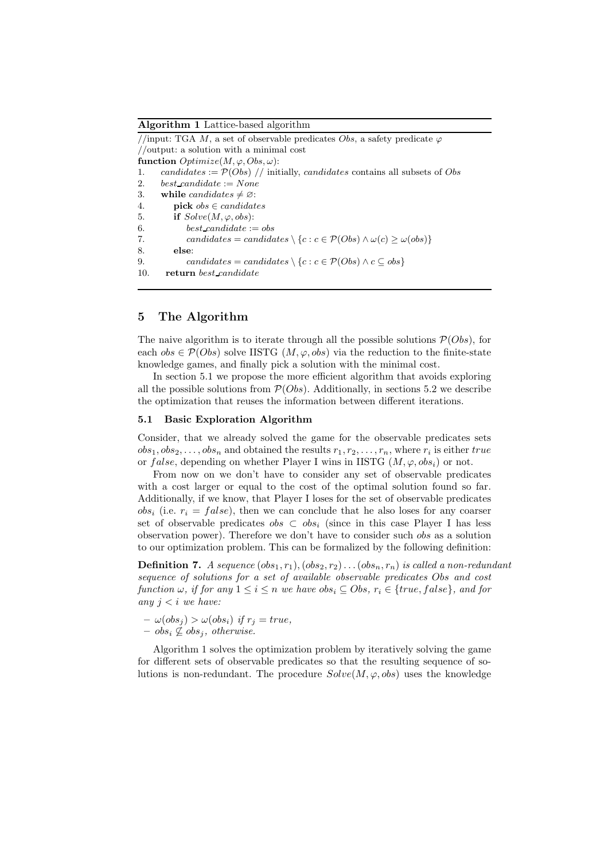Algorithm 1 Lattice-based algorithm

//input: TGA M, a set of observable predicates Obs, a safety predicate  $\varphi$ //output: a solution with a minimal cost function  $Optimize(M, \varphi, Obs, \omega)$ : 1. candidates :=  $\mathcal{P}(Obs)$  // initially, candidates contains all subsets of Obs 2. best\_candidate  $:=$  None 3. while candidates  $\neq \emptyset$ : 4. **pick**  $obs \in candidates$ 5. if  $Solve(M, \varphi, obs)$ : 6. best candidate  $:=$  obs 7. candidates = candidates  $\setminus \{c : c \in \mathcal{P}(Obs) \land \omega(c) \geq \omega(obs)\}\$ 8. else: 9. candidates = candidates \{c : c  $\in \mathcal{P}(Obs) \wedge c \subseteq obs$ } 10. return best candidate

# 5 The Algorithm

The naive algorithm is to iterate through all the possible solutions  $\mathcal{P}(Obs)$ , for each  $obs \in \mathcal{P}(Obs)$  solve IISTG  $(M, \varphi, obs)$  via the reduction to the finite-state knowledge games, and finally pick a solution with the minimal cost.

In section 5.1 we propose the more efficient algorithm that avoids exploring all the possible solutions from  $\mathcal{P}(Obs)$ . Additionally, in sections 5.2 we describe the optimization that reuses the information between different iterations.

## 5.1 Basic Exploration Algorithm

Consider, that we already solved the game for the observable predicates sets  $obs_1, obs_2, \ldots, obs_n$  and obtained the results  $r_1, r_2, \ldots, r_n$ , where  $r_i$  is either true or false, depending on whether Player I wins in IISTG  $(M, \varphi, obs_i)$  or not.

From now on we don't have to consider any set of observable predicates with a cost larger or equal to the cost of the optimal solution found so far. Additionally, if we know, that Player I loses for the set of observable predicates  $obs_i$  (i.e.  $r_i = false$ ), then we can conclude that he also loses for any coarser set of observable predicates  $obs \,\subset \, obs_i$  (since in this case Player I has less observation power). Therefore we don't have to consider such obs as a solution to our optimization problem. This can be formalized by the following definition:

**Definition 7.** A sequence  $(obs_1, r_1), (obs_2, r_2) \dots (obs_n, r_n)$  is called a non-redundant sequence of solutions for a set of available observable predicates Obs and cost function  $\omega$ , if for any  $1 \leq i \leq n$  we have  $obs_i \subseteq Obs, r_i \in \{true, false\}$ , and for any  $j < i$  we have:

 $-\omega(\overline{obs}_i) > \omega(obs_i)$  if  $r_i = true$ ,  $-$  obs<sub>i</sub>  $\not\subseteq$  obs<sub>i</sub>, otherwise.

Algorithm 1 solves the optimization problem by iteratively solving the game for different sets of observable predicates so that the resulting sequence of solutions is non-redundant. The procedure  $Solve(M, \varphi, obs)$  uses the knowledge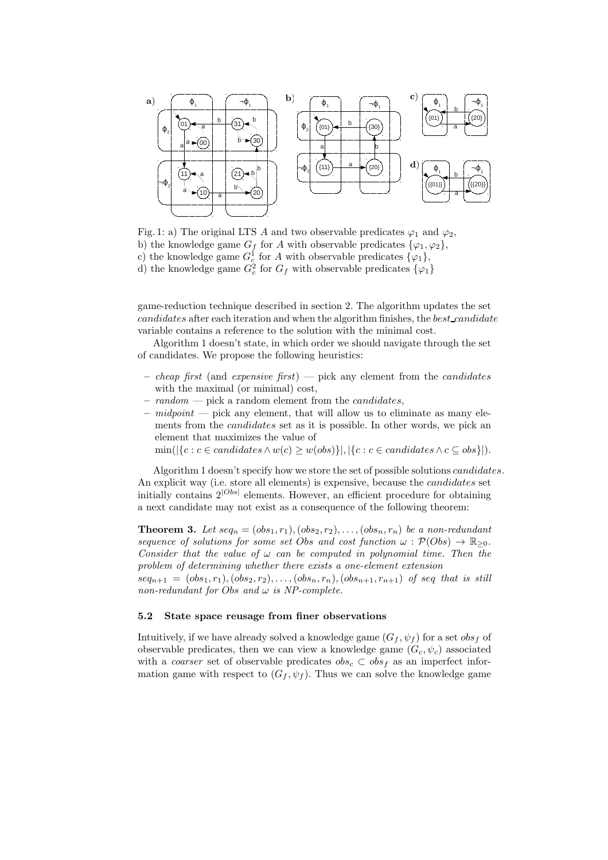

Fig. 1: a) The original LTS A and two observable predicates  $\varphi_1$  and  $\varphi_2$ , b) the knowledge game  $G_f$  for A with observable predicates  $\{\varphi_1, \varphi_2\},\$ c) the knowledge game  $G_c^1$  for A with observable predicates  $\{\varphi_1\},$ d) the knowledge game  $G_c^2$  for  $G_f$  with observable predicates  $\{\varphi_1\}$ 

game-reduction technique described in section 2. The algorithm updates the set candidates after each iteration and when the algorithm finishes, the best candidate variable contains a reference to the solution with the minimal cost.

Algorithm 1 doesn't state, in which order we should navigate through the set of candidates. We propose the following heuristics:

- cheap first (and expensive first) pick any element from the candidates with the maximal (or minimal) cost,
- $random$  pick a random element from the *candidates*,
- $midpoint$  pick any element, that will allow us to eliminate as many elements from the *candidates* set as it is possible. In other words, we pick an element that maximizes the value of

min( $|\{c : c \in candidates \land w(c) \geq w(obs)\}|, |\{c : c \in candidates \land c \subseteq obs\}|).$ 

Algorithm 1 doesn't specify how we store the set of possible solutions candidates. An explicit way (i.e. store all elements) is expensive, because the candidates set initially contains  $2^{|Obs|}$  elements. However, an efficient procedure for obtaining a next candidate may not exist as a consequence of the following theorem:

**Theorem 3.** Let  $seq_n = (obs_1, r_1), (obs_2, r_2), \ldots, (obs_n, r_n)$  be a non-redundant sequence of solutions for some set Obs and cost function  $\omega : \mathcal{P}(Obs) \to \mathbb{R}_{\geq 0}$ . Consider that the value of  $\omega$  can be computed in polynomial time. Then the problem of determining whether there exists a one-element extension  $seq_{n+1} = (obs_1, r_1), (obs_2, r_2), \ldots, (obs_n, r_n), (obs_{n+1}, r_{n+1})$  of seq that is still non-redundant for Obs and  $\omega$  is NP-complete.

## 5.2 State space reusage from finer observations

Intuitively, if we have already solved a knowledge game  $(G_f, \psi_f)$  for a set  $obs_f$  of observable predicates, then we can view a knowledge game  $(G_c, \psi_c)$  associated with a coarser set of observable predicates  $obs_c \text{ }\subset obs_f$  as an imperfect information game with respect to  $(G_f, \psi_f)$ . Thus we can solve the knowledge game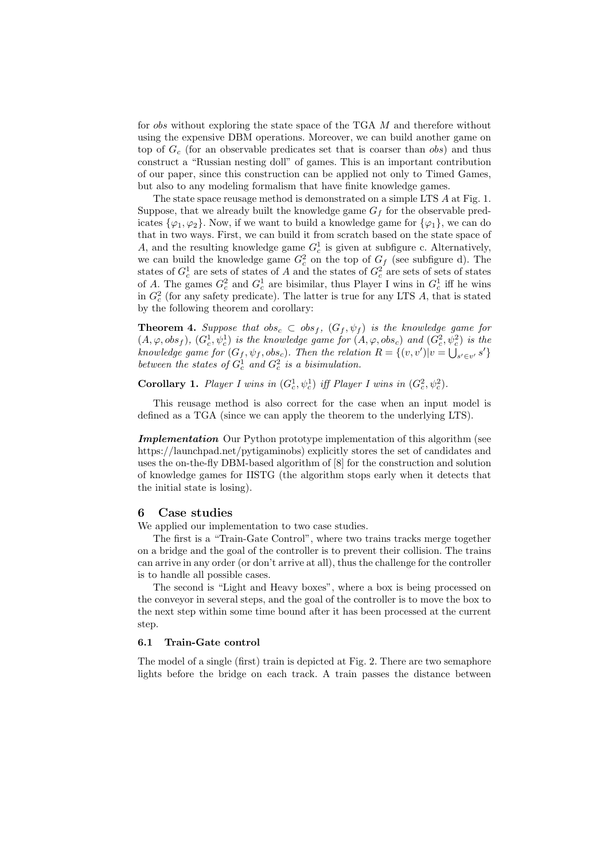for *obs* without exploring the state space of the TGA M and therefore without using the expensive DBM operations. Moreover, we can build another game on top of  $G_c$  (for an observable predicates set that is coarser than obs) and thus construct a "Russian nesting doll" of games. This is an important contribution of our paper, since this construction can be applied not only to Timed Games, but also to any modeling formalism that have finite knowledge games.

The state space reusage method is demonstrated on a simple LTS A at Fig. 1. Suppose, that we already built the knowledge game  $G_f$  for the observable predicates  $\{\varphi_1, \varphi_2\}$ . Now, if we want to build a knowledge game for  $\{\varphi_1\}$ , we can do that in two ways. First, we can build it from scratch based on the state space of A, and the resulting knowledge game  $G_c^1$  is given at subfigure c. Alternatively, we can build the knowledge game  $G_c^2$  on the top of  $G_f$  (see subfigure d). The states of  $G_c^1$  are sets of states of  $A$  and the states of  $G_c^2$  are sets of sets of states of A. The games  $G_c^2$  and  $G_c^1$  are bisimilar, thus Player I wins in  $G_c^1$  iff he wins in  $G_c^2$  (for any safety predicate). The latter is true for any LTS A, that is stated by the following theorem and corollary:

**Theorem 4.** Suppose that  $obs_c \,\subset \, obs_f, (G_f, \psi_f)$  is the knowledge game for  $(A, \varphi, obs_f), (G_c^1, \psi_c^1)$  is the knowledge game for  $(A, \varphi, obs_c)$  and  $(G_c^2, \psi_c^2)$  is the knowledge game for  $(G_f, \psi_f, obs_c)$ . Then the relation  $R = \{(v, v') | v = \bigcup_{s' \in v'} s'\}$ between the states of  $G_c^1$  and  $G_c^2$  is a bisimulation.

**Corollary 1.** Player I wins in  $(G_c^1, \psi_c^1)$  iff Player I wins in  $(G_c^2, \psi_c^2)$ .

This reusage method is also correct for the case when an input model is defined as a TGA (since we can apply the theorem to the underlying LTS).

Implementation Our Python prototype implementation of this algorithm (see https://launchpad.net/pytigaminobs) explicitly stores the set of candidates and uses the on-the-fly DBM-based algorithm of [8] for the construction and solution of knowledge games for IISTG (the algorithm stops early when it detects that the initial state is losing).

## 6 Case studies

We applied our implementation to two case studies.

The first is a "Train-Gate Control", where two trains tracks merge together on a bridge and the goal of the controller is to prevent their collision. The trains can arrive in any order (or don't arrive at all), thus the challenge for the controller is to handle all possible cases.

The second is "Light and Heavy boxes", where a box is being processed on the conveyor in several steps, and the goal of the controller is to move the box to the next step within some time bound after it has been processed at the current step.

# 6.1 Train-Gate control

The model of a single (first) train is depicted at Fig. 2. There are two semaphore lights before the bridge on each track. A train passes the distance between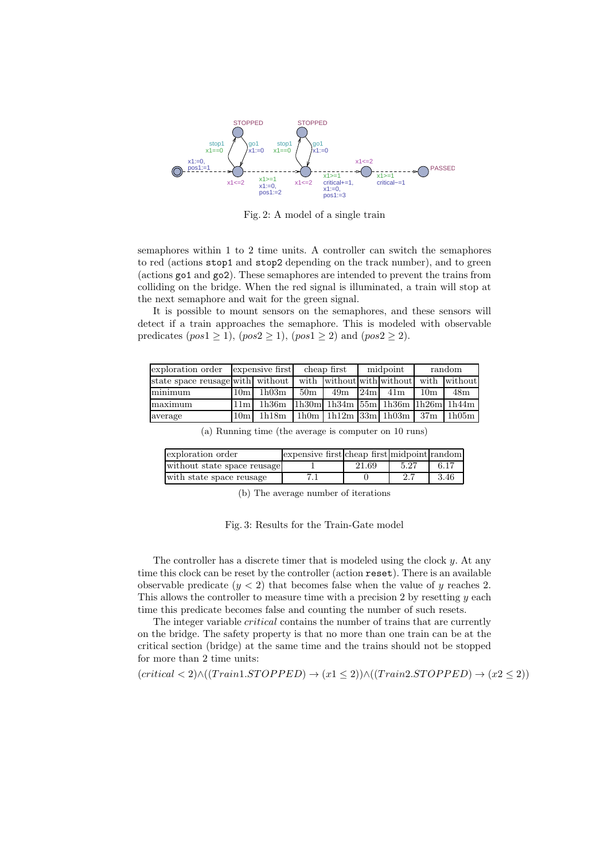

Fig. 2: A model of a single train

semaphores within 1 to 2 time units. A controller can switch the semaphores to red (actions stop1 and stop2 depending on the track number), and to green (actions go1 and go2). These semaphores are intended to prevent the trains from colliding on the bridge. When the red signal is illuminated, a train will stop at the next semaphore and wait for the green signal.

It is possible to mount sensors on the semaphores, and these sensors will detect if a train approaches the semaphore. This is modeled with observable predicates  $(pos1 \ge 1)$ ,  $(pos2 \ge 1)$ ,  $(pos1 \ge 2)$  and  $(pos2 \ge 2)$ .

| exploration order                | expensive first |                     | cheap first     |     | midpoint |                                                                                                                                | random          |       |
|----------------------------------|-----------------|---------------------|-----------------|-----|----------|--------------------------------------------------------------------------------------------------------------------------------|-----------------|-------|
| state space reusage with without |                 |                     |                 |     |          | with without with without with without                                                                                         |                 |       |
| minimum                          | 10 <sub>m</sub> | $1{\rm h}03{\rm m}$ | 50 <sub>m</sub> | 49m | 24m      | 41 <sub>m</sub>                                                                                                                | 10 <sub>m</sub> | 48m   |
| maximum                          | 11 <sub>m</sub> | 1h36m               |                 |     |          | $\lfloor \frac{1 \cdot 30m \rfloor}{1 \cdot 34m} \rfloor$ 155m $\lfloor \frac{1 \cdot 36m \rfloor}{1 \cdot 26m} \rfloor$ 1h44m |                 |       |
| average                          | 10 <sub>m</sub> | 1h18m               |                 |     |          | $1h0m$   $1h12m$   $33m$   $1h03m$   $37m$                                                                                     |                 | 1h05m |

(a) Running time (the average is computer on 10 runs)

| exploration order           | expensive first cheap first midpoint random |       |      |      |
|-----------------------------|---------------------------------------------|-------|------|------|
| without state space reusage |                                             | 21.69 | 5.27 | 6.17 |
| with state space reusage    |                                             |       | 2.7  | 3.46 |

(b) The average number of iterations

Fig. 3: Results for the Train-Gate model

The controller has a discrete timer that is modeled using the clock y. At any time this clock can be reset by the controller (action reset). There is an available observable predicate  $(y < 2)$  that becomes false when the value of y reaches 2. This allows the controller to measure time with a precision 2 by resetting  $y$  each time this predicate becomes false and counting the number of such resets.

The integer variable critical contains the number of trains that are currently on the bridge. The safety property is that no more than one train can be at the critical section (bridge) at the same time and the trains should not be stopped for more than 2 time units:

$$
(critical < 2) \land ((Train1.STOPPED) \rightarrow (x1 \le 2)) \land ((Train2.STOPPED) \rightarrow (x2 \le 2))
$$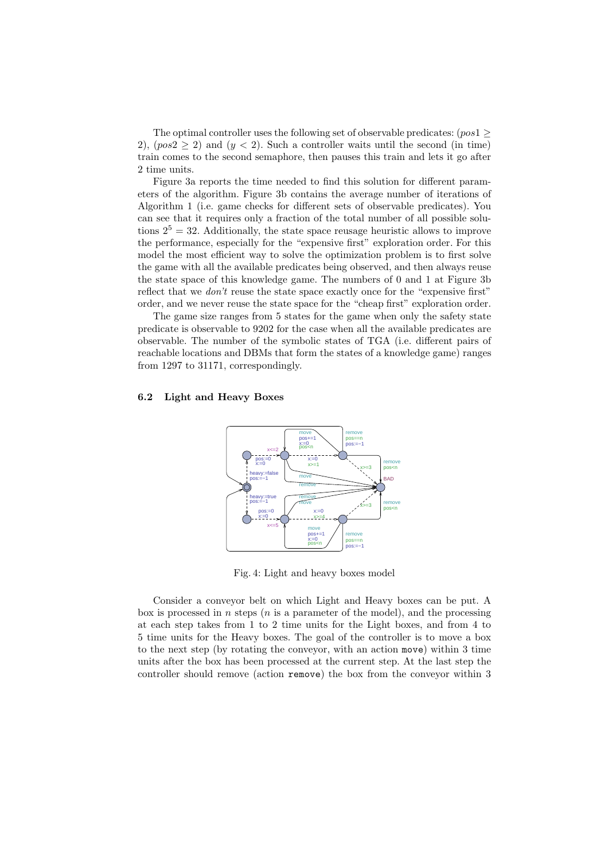The optimal controller uses the following set of observable predicates:  $(pos1 \geq$ 2),  $(pos2 \ge 2)$  and  $(y < 2)$ . Such a controller waits until the second (in time) train comes to the second semaphore, then pauses this train and lets it go after 2 time units.

Figure 3a reports the time needed to find this solution for different parameters of the algorithm. Figure 3b contains the average number of iterations of Algorithm 1 (i.e. game checks for different sets of observable predicates). You can see that it requires only a fraction of the total number of all possible solutions  $2^5 = 32$ . Additionally, the state space reusage heuristic allows to improve the performance, especially for the "expensive first" exploration order. For this model the most efficient way to solve the optimization problem is to first solve the game with all the available predicates being observed, and then always reuse the state space of this knowledge game. The numbers of 0 and 1 at Figure 3b reflect that we *don't* reuse the state space exactly once for the "expensive first" order, and we never reuse the state space for the "cheap first" exploration order.

The game size ranges from 5 states for the game when only the safety state predicate is observable to 9202 for the case when all the available predicates are observable. The number of the symbolic states of TGA (i.e. different pairs of reachable locations and DBMs that form the states of a knowledge game) ranges from 1297 to 31171, correspondingly.

#### 6.2 Light and Heavy Boxes



Fig. 4: Light and heavy boxes model

Consider a conveyor belt on which Light and Heavy boxes can be put. A box is processed in n steps  $(n \text{ is a parameter of the model})$ , and the processing at each step takes from 1 to 2 time units for the Light boxes, and from 4 to 5 time units for the Heavy boxes. The goal of the controller is to move a box to the next step (by rotating the conveyor, with an action move) within 3 time units after the box has been processed at the current step. At the last step the controller should remove (action remove) the box from the conveyor within 3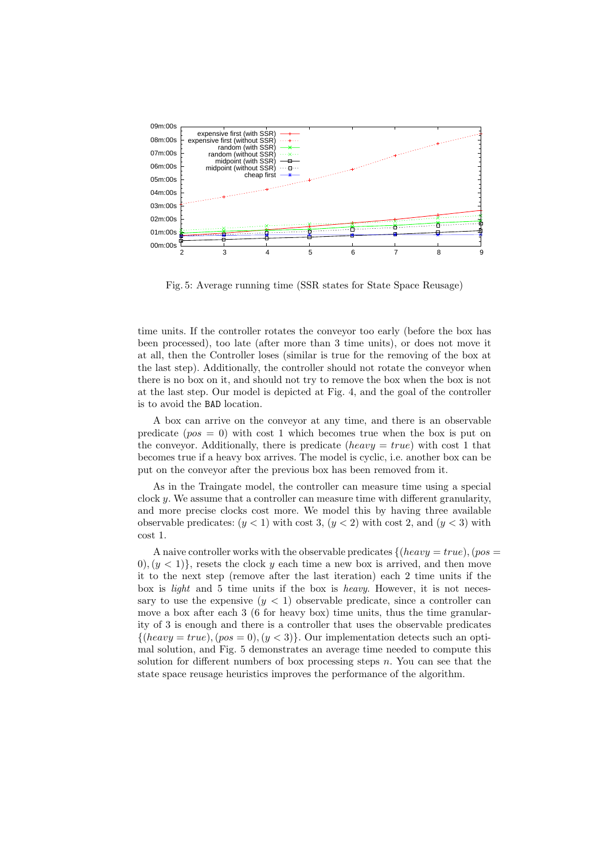

Fig. 5: Average running time (SSR states for State Space Reusage)

time units. If the controller rotates the conveyor too early (before the box has been processed), too late (after more than 3 time units), or does not move it at all, then the Controller loses (similar is true for the removing of the box at the last step). Additionally, the controller should not rotate the conveyor when there is no box on it, and should not try to remove the box when the box is not at the last step. Our model is depicted at Fig. 4, and the goal of the controller is to avoid the BAD location.

A box can arrive on the conveyor at any time, and there is an observable predicate  $(pos = 0)$  with cost 1 which becomes true when the box is put on the conveyor. Additionally, there is predicate (heavy  $= true$ ) with cost 1 that becomes true if a heavy box arrives. The model is cyclic, i.e. another box can be put on the conveyor after the previous box has been removed from it.

As in the Traingate model, the controller can measure time using a special clock  $y$ . We assume that a controller can measure time with different granularity, and more precise clocks cost more. We model this by having three available observable predicates:  $(y < 1)$  with cost 3,  $(y < 2)$  with cost 2, and  $(y < 3)$  with cost 1.

A naive controller works with the observable predicates  $\{(heavy = true), (pos =$  $0, (y < 1)$ , resets the clock y each time a new box is arrived, and then move it to the next step (remove after the last iteration) each 2 time units if the box is light and 5 time units if the box is heavy. However, it is not necessary to use the expensive  $(y < 1)$  observable predicate, since a controller can move a box after each 3 (6 for heavy box) time units, thus the time granularity of 3 is enough and there is a controller that uses the observable predicates  $\{(heavy = true), (pos = 0), (y < 3)\}\$ . Our implementation detects such an optimal solution, and Fig. 5 demonstrates an average time needed to compute this solution for different numbers of box processing steps  $n$ . You can see that the state space reusage heuristics improves the performance of the algorithm.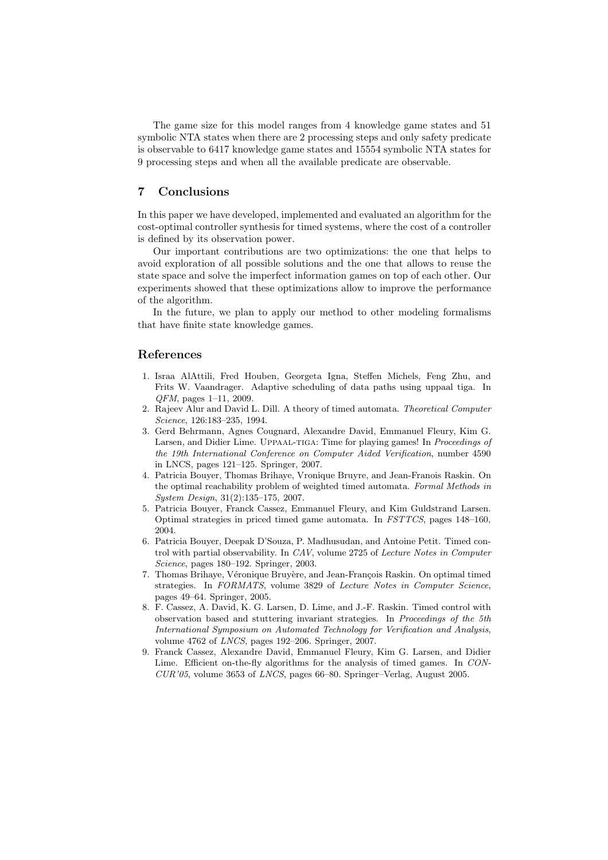The game size for this model ranges from 4 knowledge game states and 51 symbolic NTA states when there are 2 processing steps and only safety predicate is observable to 6417 knowledge game states and 15554 symbolic NTA states for 9 processing steps and when all the available predicate are observable.

# 7 Conclusions

In this paper we have developed, implemented and evaluated an algorithm for the cost-optimal controller synthesis for timed systems, where the cost of a controller is defined by its observation power.

Our important contributions are two optimizations: the one that helps to avoid exploration of all possible solutions and the one that allows to reuse the state space and solve the imperfect information games on top of each other. Our experiments showed that these optimizations allow to improve the performance of the algorithm.

In the future, we plan to apply our method to other modeling formalisms that have finite state knowledge games.

## References

- 1. Israa AlAttili, Fred Houben, Georgeta Igna, Steffen Michels, Feng Zhu, and Frits W. Vaandrager. Adaptive scheduling of data paths using uppaal tiga. In *QFM*, pages 1–11, 2009.
- 2. Rajeev Alur and David L. Dill. A theory of timed automata. *Theoretical Computer Science*, 126:183–235, 1994.
- 3. Gerd Behrmann, Agnes Cougnard, Alexandre David, Emmanuel Fleury, Kim G. Larsen, and Didier Lime. Uppaal-tiga: Time for playing games! In *Proceedings of the 19th International Conference on Computer Aided Verification*, number 4590 in LNCS, pages 121–125. Springer, 2007.
- 4. Patricia Bouyer, Thomas Brihaye, Vronique Bruyre, and Jean-Franois Raskin. On the optimal reachability problem of weighted timed automata. *Formal Methods in System Design*, 31(2):135–175, 2007.
- 5. Patricia Bouyer, Franck Cassez, Emmanuel Fleury, and Kim Guldstrand Larsen. Optimal strategies in priced timed game automata. In *FSTTCS*, pages 148–160, 2004.
- 6. Patricia Bouyer, Deepak D'Souza, P. Madhusudan, and Antoine Petit. Timed control with partial observability. In *CAV*, volume 2725 of *Lecture Notes in Computer Science*, pages 180–192. Springer, 2003.
- 7. Thomas Brihaye, Véronique Bruyère, and Jean-François Raskin. On optimal timed strategies. In *FORMATS*, volume 3829 of *Lecture Notes in Computer Science*, pages 49–64. Springer, 2005.
- 8. F. Cassez, A. David, K. G. Larsen, D. Lime, and J.-F. Raskin. Timed control with observation based and stuttering invariant strategies. In *Proceedings of the 5th International Symposium on Automated Technology for Verification and Analysis*, volume 4762 of *LNCS*, pages 192–206. Springer, 2007.
- 9. Franck Cassez, Alexandre David, Emmanuel Fleury, Kim G. Larsen, and Didier Lime. Efficient on-the-fly algorithms for the analysis of timed games. In *CON-CUR'05*, volume 3653 of *LNCS*, pages 66–80. Springer–Verlag, August 2005.